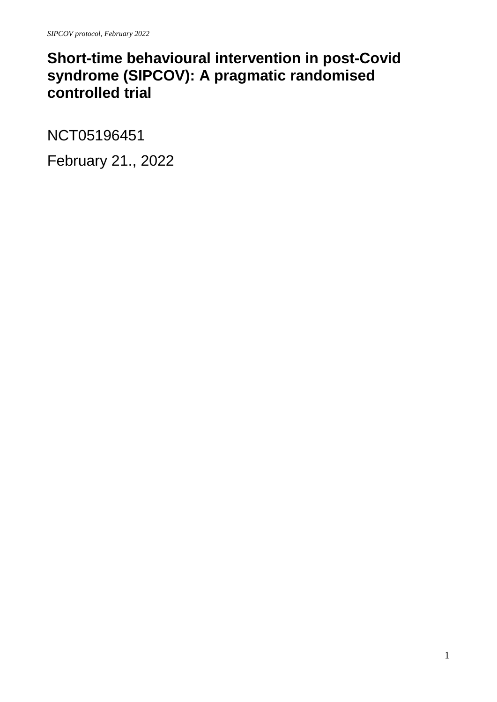# **Short-time behavioural intervention in post-Covid syndrome (SIPCOV): A pragmatic randomised controlled trial**

NCT05196451

February 21., 2022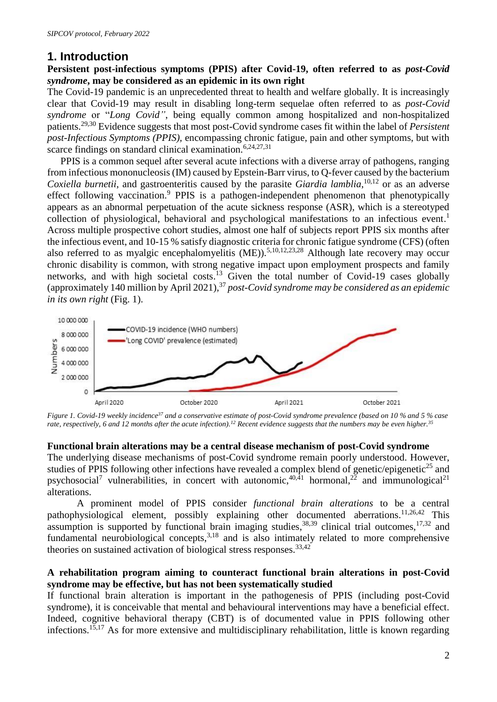# **1. Introduction**

## **Persistent post-infectious symptoms (PPIS) after Covid-19, often referred to as** *post-Covid syndrome***, may be considered as an epidemic in its own right**

The Covid-19 pandemic is an unprecedented threat to health and welfare globally. It is increasingly clear that Covid-19 may result in disabling long-term sequelae often referred to as *post-Covid syndrome* or "*Long Covid"*, being equally common among hospitalized and non-hospitalized patients. 29,30 Evidence suggests that most post-Covid syndrome cases fit within the label of *Persistent post-Infectious Symptoms (PPIS),* encompassing chronic fatigue, pain and other symptoms, but with scarce findings on standard clinical examination.<sup>6,24,27,31</sup>

PPIS is a common sequel after several acute infections with a diverse array of pathogens, ranging from infectious mononucleosis (IM) caused by Epstein-Barr virus, to Q-fever caused by the bacterium *Coxiella burnetii*, and gastroenteritis caused by the parasite *Giardia lamblia*, 10,12 or as an adverse effect following vaccination.<sup>9</sup> PPIS is a pathogen-independent phenomenon that phenotypically appears as an abnormal perpetuation of the acute sickness response (ASR), which is a stereotyped collection of physiological, behavioral and psychological manifestations to an infectious event. 1 Across multiple prospective cohort studies, almost one half of subjects report PPIS six months after the infectious event, and 10-15 % satisfy diagnostic criteria for chronic fatigue syndrome (CFS) (often also referred to as myalgic encephalomyelitis  $(ME)$ ).<sup>5,10,12,23,28</sup> Although late recovery may occur chronic disability is common, with strong negative impact upon employment prospects and family networks, and with high societal costs.<sup>13</sup> Given the total number of Covid-19 cases globally (approximately 140 million by April 2021),<sup>37</sup> *post-Covid syndrome may be considered as an epidemic in its own right* (Fig. 1).



*Figure 1. Covid-19 weekly incidence<sup>37</sup> and a conservative estimate of post-Covid syndrome prevalence (based on 10 % and 5 % case rate, respectively, 6 and 12 months after the acute infection).<sup>12</sup> Recent evidence suggests that the numbers may be even higher. 35*

#### **Functional brain alterations may be a central disease mechanism of post-Covid syndrome**

The underlying disease mechanisms of post-Covid syndrome remain poorly understood. However, studies of PPIS following other infections have revealed a complex blend of genetic/epigenetic<sup>25</sup> and psychosocial<sup>7</sup> vulnerabilities, in concert with autonomic,<sup>40,41</sup> hormonal,<sup>22</sup> and immunological<sup>21</sup> alterations.

A prominent model of PPIS consider *functional brain alterations* to be a central pathophysiological element, possibly explaining other documented aberrations.<sup>11,26,42</sup> This assumption is supported by functional brain imaging studies,  $38,39$  clinical trial outcomes,  $17,32$  and fundamental neurobiological concepts,  $3,18$  and is also intimately related to more comprehensive theories on sustained activation of biological stress responses.  $33,42$ 

# **A rehabilitation program aiming to counteract functional brain alterations in post-Covid syndrome may be effective, but has not been systematically studied**

If functional brain alteration is important in the pathogenesis of PPIS (including post-Covid syndrome), it is conceivable that mental and behavioural interventions may have a beneficial effect. Indeed, cognitive behavioral therapy (CBT) is of documented value in PPIS following other infections.<sup>15,17</sup> As for more extensive and multidisciplinary rehabilitation, little is known regarding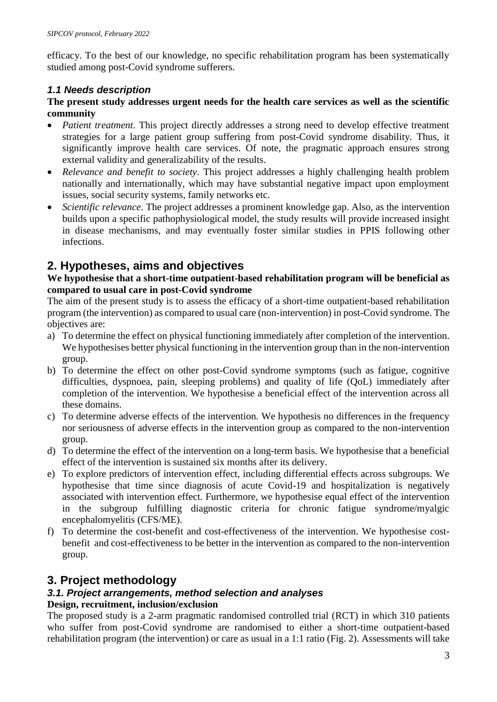efficacy. To the best of our knowledge, no specific rehabilitation program has been systematically studied among post-Covid syndrome sufferers.

# *1.1 Needs description*

## **The present study addresses urgent needs for the health care services as well as the scientific community**

- *Patient treatment*. This project directly addresses a strong need to develop effective treatment strategies for a large patient group suffering from post-Covid syndrome disability. Thus, it significantly improve health care services. Of note, the pragmatic approach ensures strong external validity and generalizability of the results.
- *Relevance and benefit to society*. This project addresses a highly challenging health problem nationally and internationally, which may have substantial negative impact upon employment issues, social security systems, family networks etc.
- *Scientific relevance*. The project addresses a prominent knowledge gap. Also, as the intervention builds upon a specific pathophysiological model, the study results will provide increased insight in disease mechanisms, and may eventually foster similar studies in PPIS following other infections.

# **2. Hypotheses, aims and objectives**

# **We hypothesise that a short-time outpatient-based rehabilitation program will be beneficial as compared to usual care in post-Covid syndrome**

The aim of the present study is to assess the efficacy of a short-time outpatient-based rehabilitation program (the intervention) as compared to usual care (non-intervention) in post-Covid syndrome. The objectives are:

- a) To determine the effect on physical functioning immediately after completion of the intervention. We hypothesises better physical functioning in the intervention group than in the non-intervention group.
- b) To determine the effect on other post-Covid syndrome symptoms (such as fatigue, cognitive difficulties, dyspnoea, pain, sleeping problems) and quality of life (QoL) immediately after completion of the intervention. We hypothesise a beneficial effect of the intervention across all these domains.
- c) To determine adverse effects of the intervention. We hypothesis no differences in the frequency nor seriousness of adverse effects in the intervention group as compared to the non-intervention group.
- d) To determine the effect of the intervention on a long-term basis. We hypothesise that a beneficial effect of the intervention is sustained six months after its delivery.
- e) To explore predictors of intervention effect, including differential effects across subgroups. We hypothesise that time since diagnosis of acute Covid-19 and hospitalization is negatively associated with intervention effect. Furthermore, we hypothesise equal effect of the intervention in the subgroup fulfilling diagnostic criteria for chronic fatigue syndrome/myalgic encephalomyelitis (CFS/ME).
- f) To determine the cost-benefit and cost-effectiveness of the intervention. We hypothesise costbenefit and cost-effectiveness to be better in the intervention as compared to the non-intervention group.

# **3. Project methodology**

# *3.1. Project arrangements, method selection and analyses*

# **Design, recruitment, inclusion/exclusion**

The proposed study is a 2-arm pragmatic randomised controlled trial (RCT) in which 310 patients who suffer from post-Covid syndrome are randomised to either a short-time outpatient-based rehabilitation program (the intervention) or care as usual in a 1:1 ratio (Fig. 2). Assessments will take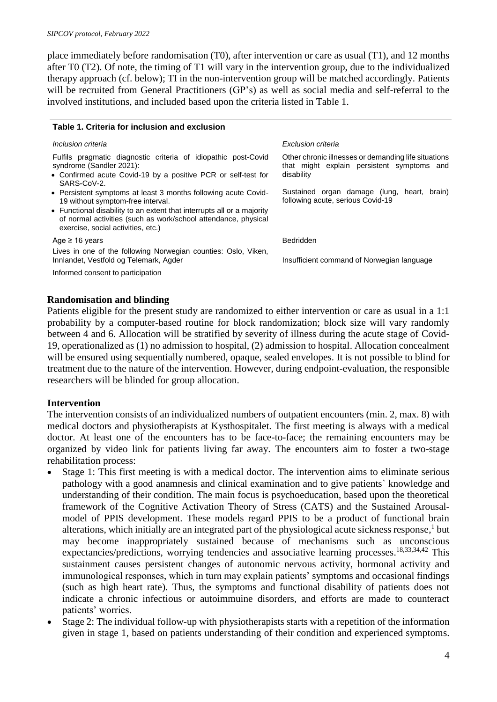place immediately before randomisation (T0), after intervention or care as usual (T1), and 12 months after T0 (T2). Of note, the timing of T1 will vary in the intervention group, due to the individualized therapy approach (cf. below); TI in the non-intervention group will be matched accordingly. Patients will be recruited from General Practitioners (GP's) as well as social media and self-referral to the involved institutions, and included based upon the criteria listed in Table 1.

| Table 1. Criteria for inclusion and exclusion                                                                                                                                                                                                                                         |                                                                                                                  |
|---------------------------------------------------------------------------------------------------------------------------------------------------------------------------------------------------------------------------------------------------------------------------------------|------------------------------------------------------------------------------------------------------------------|
| Inclusion criteria                                                                                                                                                                                                                                                                    | Exclusion criteria                                                                                               |
| Fulfils pragmatic diagnostic criteria of idiopathic post-Covid<br>syndrome (Sandler 2021):<br>• Confirmed acute Covid-19 by a positive PCR or self-test for<br>SARS-CoV-2.                                                                                                            | Other chronic illnesses or demanding life situations<br>that might explain persistent symptoms and<br>disability |
| • Persistent symptoms at least 3 months following acute Covid-<br>19 without symptom-free interval.<br>• Functional disability to an extent that interrupts all or a majority<br>of normal activities (such as work/school attendance, physical<br>exercise, social activities, etc.) | Sustained organ damage (lung,<br>heart, brain)<br>following acute, serious Covid-19                              |
| Age $\geq$ 16 years                                                                                                                                                                                                                                                                   | <b>Bedridden</b>                                                                                                 |
| Lives in one of the following Norwegian counties: Oslo, Viken,<br>Innlandet, Vestfold og Telemark, Agder                                                                                                                                                                              | Insufficient command of Norwegian language                                                                       |
| Informed consent to participation                                                                                                                                                                                                                                                     |                                                                                                                  |

# **Randomisation and blinding**

Patients eligible for the present study are randomized to either intervention or care as usual in a 1:1 probability by a computer-based routine for block randomization; block size will vary randomly between 4 and 6. Allocation will be stratified by severity of illness during the acute stage of Covid-19, operationalized as (1) no admission to hospital, (2) admission to hospital. Allocation concealment will be ensured using sequentially numbered, opaque, sealed envelopes. It is not possible to blind for treatment due to the nature of the intervention. However, during endpoint-evaluation, the responsible researchers will be blinded for group allocation.

# **Intervention**

The intervention consists of an individualized numbers of outpatient encounters (min. 2, max. 8) with medical doctors and physiotherapists at Kysthospitalet. The first meeting is always with a medical doctor. At least one of the encounters has to be face-to-face; the remaining encounters may be organized by video link for patients living far away. The encounters aim to foster a two-stage rehabilitation process:

- Stage 1: This first meeting is with a medical doctor. The intervention aims to eliminate serious pathology with a good anamnesis and clinical examination and to give patients` knowledge and understanding of their condition. The main focus is psychoeducation, based upon the theoretical framework of the Cognitive Activation Theory of Stress (CATS) and the Sustained Arousalmodel of PPIS development. These models regard PPIS to be a product of functional brain alterations, which initially are an integrated part of the physiological acute sickness response, 1 but may become inappropriately sustained because of mechanisms such as unconscious expectancies/predictions, worrying tendencies and associative learning processes.<sup>18,33,34,42</sup> This sustainment causes persistent changes of autonomic nervous activity, hormonal activity and immunological responses, which in turn may explain patients' symptoms and occasional findings (such as high heart rate). Thus, the symptoms and functional disability of patients does not indicate a chronic infectious or autoimmuine disorders, and efforts are made to counteract patients' worries.
- Stage 2: The individual follow-up with physiotherapists starts with a repetition of the information given in stage 1, based on patients understanding of their condition and experienced symptoms.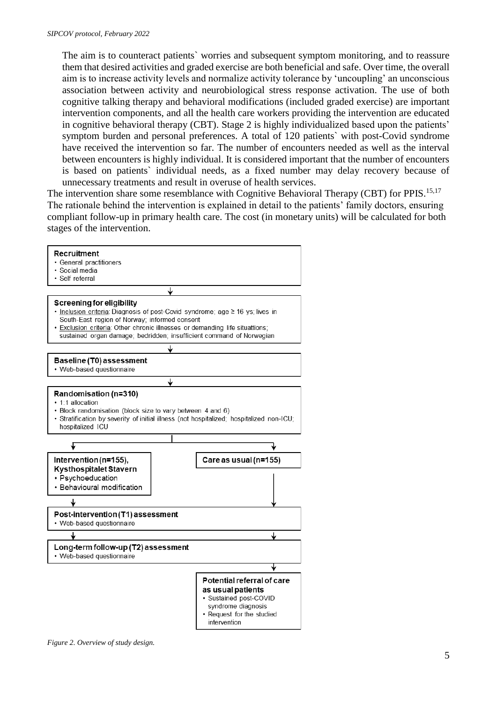The aim is to counteract patients` worries and subsequent symptom monitoring, and to reassure them that desired activities and graded exercise are both beneficial and safe. Over time, the overall aim is to increase activity levels and normalize activity tolerance by 'uncoupling' an unconscious association between activity and neurobiological stress response activation. The use of both cognitive talking therapy and behavioral modifications (included graded exercise) are important intervention components, and all the health care workers providing the intervention are educated in cognitive behavioral therapy (CBT). Stage 2 is highly individualized based upon the patients' symptom burden and personal preferences. A total of 120 patients` with post-Covid syndrome have received the intervention so far. The number of encounters needed as well as the interval between encounters is highly individual. It is considered important that the number of encounters is based on patients` individual needs, as a fixed number may delay recovery because of unnecessary treatments and result in overuse of health services.

The intervention share some resemblance with Cognitive Behavioral Therapy (CBT) for PPIS.<sup>15,17</sup> The rationale behind the intervention is explained in detail to the patients' family doctors, ensuring compliant follow-up in primary health care. The cost (in monetary units) will be calculated for both stages of the intervention.



*Figure 2. Overview of study design.*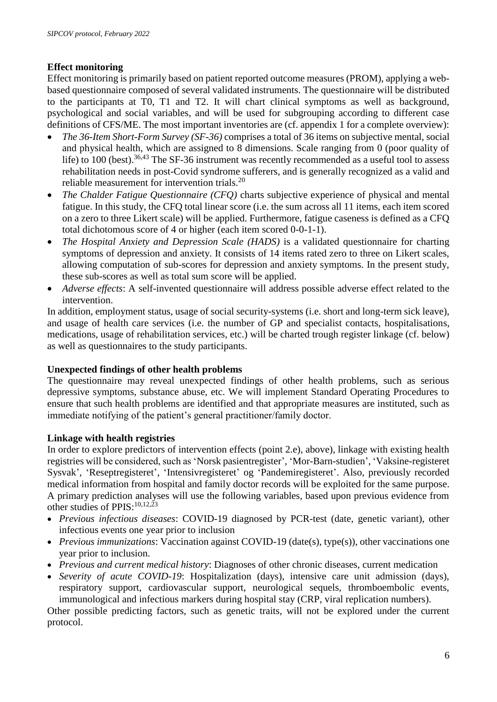# **Effect monitoring**

Effect monitoring is primarily based on patient reported outcome measures (PROM), applying a webbased questionnaire composed of several validated instruments. The questionnaire will be distributed to the participants at T0, T1 and T2. It will chart clinical symptoms as well as background, psychological and social variables, and will be used for subgrouping according to different case definitions of CFS/ME. The most important inventories are (cf. appendix 1 for a complete overview):

- *The 36-Item Short-Form Survey (SF-36)* comprises a total of 36 items on subjective mental, social and physical health, which are assigned to 8 dimensions. Scale ranging from 0 (poor quality of life) to 100 (best).<sup>36,43</sup> The SF-36 instrument was recently recommended as a useful tool to assess rehabilitation needs in post-Covid syndrome sufferers, and is generally recognized as a valid and reliable measurement for intervention trials.<sup>20</sup>
- *The Chalder Fatigue Questionnaire (CFQ)* charts subjective experience of physical and mental fatigue. In this study, the CFQ total linear score (i.e. the sum across all 11 items, each item scored on a zero to three Likert scale) will be applied. Furthermore, fatigue caseness is defined as a CFQ total dichotomous score of 4 or higher (each item scored 0-0-1-1).
- *The Hospital Anxiety and Depression Scale (HADS)* is a validated questionnaire for charting symptoms of depression and anxiety. It consists of 14 items rated zero to three on Likert scales, allowing computation of sub-scores for depression and anxiety symptoms. In the present study, these sub-scores as well as total sum score will be applied.
- *Adverse effects*: A self-invented questionnaire will address possible adverse effect related to the intervention.

In addition, employment status, usage of social security-systems (i.e. short and long-term sick leave), and usage of health care services (i.e. the number of GP and specialist contacts, hospitalisations, medications, usage of rehabilitation services, etc.) will be charted trough register linkage (cf. below) as well as questionnaires to the study participants.

# **Unexpected findings of other health problems**

The questionnaire may reveal unexpected findings of other health problems, such as serious depressive symptoms, substance abuse, etc. We will implement Standard Operating Procedures to ensure that such health problems are identified and that appropriate measures are instituted, such as immediate notifying of the patient's general practitioner/family doctor.

# **Linkage with health registries**

In order to explore predictors of intervention effects (point 2.e), above), linkage with existing health registries will be considered, such as 'Norsk pasientregister', 'Mor-Barn-studien', 'Vaksine-registeret Sysvak', 'Reseptregisteret', 'Intensivregisteret' og 'Pandemiregisteret'. Also, previously recorded medical information from hospital and family doctor records will be exploited for the same purpose. A primary prediction analyses will use the following variables, based upon previous evidence from other studies of PPIS:  $^{10,12,23}$ 

- *Previous infectious diseases*: COVID-19 diagnosed by PCR-test (date, genetic variant), other infectious events one year prior to inclusion
- *Previous immunizations*: Vaccination against COVID-19 (date(s), type(s)), other vaccinations one year prior to inclusion.
- *Previous and current medical history*: Diagnoses of other chronic diseases, current medication
- *Severity of acute COVID-19*: Hospitalization (days), intensive care unit admission (days), respiratory support, cardiovascular support, neurological sequels, thromboembolic events, immunological and infectious markers during hospital stay (CRP, viral replication numbers).

Other possible predicting factors, such as genetic traits, will not be explored under the current protocol.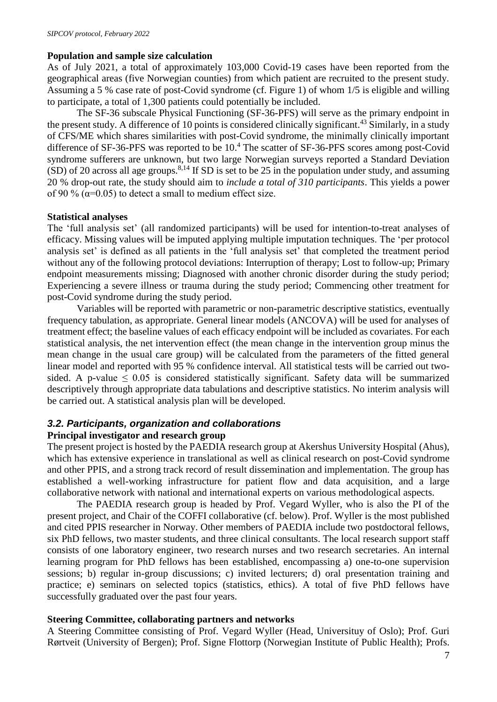#### **Population and sample size calculation**

As of July 2021, a total of approximately 103,000 Covid-19 cases have been reported from the geographical areas (five Norwegian counties) from which patient are recruited to the present study. Assuming a 5 % case rate of post-Covid syndrome (cf. Figure 1) of whom 1/5 is eligible and willing to participate, a total of 1,300 patients could potentially be included.

The SF-36 subscale Physical Functioning (SF-36-PFS) will serve as the primary endpoint in the present study. A difference of 10 points is considered clinically significant.<sup>43</sup> Similarly, in a study of CFS/ME which shares similarities with post-Covid syndrome, the minimally clinically important difference of SF-36-PFS was reported to be 10. <sup>4</sup> The scatter of SF-36-PFS scores among post-Covid syndrome sufferers are unknown, but two large Norwegian surveys reported a Standard Deviation  $(SD)$  of 20 across all age groups.<sup>8,14</sup> If SD is set to be 25 in the population under study, and assuming 20 % drop-out rate, the study should aim to *include a total of 310 participants*. This yields a power of 90 % ( $\alpha$ =0.05) to detect a small to medium effect size.

## **Statistical analyses**

The 'full analysis set' (all randomized participants) will be used for intention-to-treat analyses of efficacy. Missing values will be imputed applying multiple imputation techniques. The 'per protocol analysis set' is defined as all patients in the 'full analysis set' that completed the treatment period without any of the following protocol deviations: Interruption of therapy; Lost to follow-up; Primary endpoint measurements missing; Diagnosed with another chronic disorder during the study period; Experiencing a severe illness or trauma during the study period; Commencing other treatment for post-Covid syndrome during the study period.

Variables will be reported with parametric or non-parametric descriptive statistics, eventually frequency tabulation, as appropriate. General linear models (ANCOVA) will be used for analyses of treatment effect; the baseline values of each efficacy endpoint will be included as covariates. For each statistical analysis, the net intervention effect (the mean change in the intervention group minus the mean change in the usual care group) will be calculated from the parameters of the fitted general linear model and reported with 95 % confidence interval. All statistical tests will be carried out twosided. A p-value  $\leq 0.05$  is considered statistically significant. Safety data will be summarized descriptively through appropriate data tabulations and descriptive statistics. No interim analysis will be carried out. A statistical analysis plan will be developed.

# *3.2. Participants, organization and collaborations*

#### **Principal investigator and research group**

The present project is hosted by the PAEDIA research group at Akershus University Hospital (Ahus), which has extensive experience in translational as well as clinical research on post-Covid syndrome and other PPIS, and a strong track record of result dissemination and implementation. The group has established a well-working infrastructure for patient flow and data acquisition, and a large collaborative network with national and international experts on various methodological aspects.

The PAEDIA research group is headed by Prof. Vegard Wyller, who is also the PI of the present project, and Chair of the COFFI collaborative (cf. below). Prof. Wyller is the most published and cited PPIS researcher in Norway. Other members of PAEDIA include two postdoctoral fellows, six PhD fellows, two master students, and three clinical consultants. The local research support staff consists of one laboratory engineer, two research nurses and two research secretaries. An internal learning program for PhD fellows has been established, encompassing a) one-to-one supervision sessions; b) regular in-group discussions; c) invited lecturers; d) oral presentation training and practice; e) seminars on selected topics (statistics, ethics). A total of five PhD fellows have successfully graduated over the past four years.

#### **Steering Committee, collaborating partners and networks**

A Steering Committee consisting of Prof. Vegard Wyller (Head, Universituy of Oslo); Prof. Guri Rørtveit (University of Bergen); Prof. Signe Flottorp (Norwegian Institute of Public Health); Profs.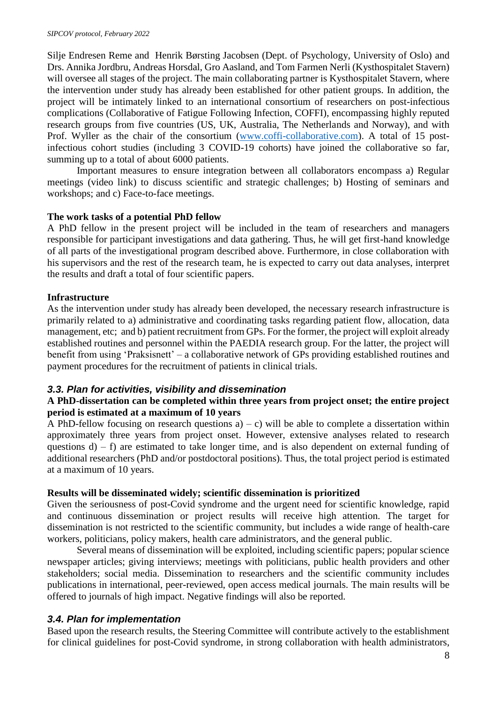Silje Endresen Reme and Henrik Børsting Jacobsen (Dept. of Psychology, University of Oslo) and Drs. Annika Jordbru, Andreas Horsdal, Gro Aasland, and Tom Farmen Nerli (Kysthospitalet Stavern) will oversee all stages of the project. The main collaborating partner is Kysthospitalet Stavern, where the intervention under study has already been established for other patient groups. In addition, the project will be intimately linked to an international consortium of researchers on post-infectious complications (Collaborative of Fatigue Following Infection, COFFI), encompassing highly reputed research groups from five countries (US, UK, Australia, The Netherlands and Norway), and with Prof. Wyller as the chair of the consortium [\(www.coffi-collaborative.com\)](http://www.coffi-collaborative.com/). A total of 15 postinfectious cohort studies (including 3 COVID-19 cohorts) have joined the collaborative so far, summing up to a total of about 6000 patients.

Important measures to ensure integration between all collaborators encompass a) Regular meetings (video link) to discuss scientific and strategic challenges; b) Hosting of seminars and workshops; and c) Face-to-face meetings.

## **The work tasks of a potential PhD fellow**

A PhD fellow in the present project will be included in the team of researchers and managers responsible for participant investigations and data gathering. Thus, he will get first-hand knowledge of all parts of the investigational program described above. Furthermore, in close collaboration with his supervisors and the rest of the research team, he is expected to carry out data analyses, interpret the results and draft a total of four scientific papers.

#### **Infrastructure**

As the intervention under study has already been developed, the necessary research infrastructure is primarily related to a) administrative and coordinating tasks regarding patient flow, allocation, data management, etc; and b) patient recruitment from GPs. For the former, the project will exploit already established routines and personnel within the PAEDIA research group. For the latter, the project will benefit from using 'Praksisnett' – a collaborative network of GPs providing established routines and payment procedures for the recruitment of patients in clinical trials.

# *3.3. Plan for activities, visibility and dissemination*

## **A PhD-dissertation can be completed within three years from project onset; the entire project period is estimated at a maximum of 10 years**

A PhD-fellow focusing on research questions  $a$ ) – c) will be able to complete a dissertation within approximately three years from project onset. However, extensive analyses related to research questions  $d - f$  are estimated to take longer time, and is also dependent on external funding of additional researchers (PhD and/or postdoctoral positions). Thus, the total project period is estimated at a maximum of 10 years.

#### **Results will be disseminated widely; scientific dissemination is prioritized**

Given the seriousness of post-Covid syndrome and the urgent need for scientific knowledge, rapid and continuous dissemination or project results will receive high attention. The target for dissemination is not restricted to the scientific community, but includes a wide range of health-care workers, politicians, policy makers, health care administrators, and the general public.

Several means of dissemination will be exploited, including scientific papers; popular science newspaper articles; giving interviews; meetings with politicians, public health providers and other stakeholders; social media. Dissemination to researchers and the scientific community includes publications in international, peer-reviewed, open access medical journals. The main results will be offered to journals of high impact. Negative findings will also be reported.

# *3.4. Plan for implementation*

Based upon the research results, the Steering Committee will contribute actively to the establishment for clinical guidelines for post-Covid syndrome, in strong collaboration with health administrators,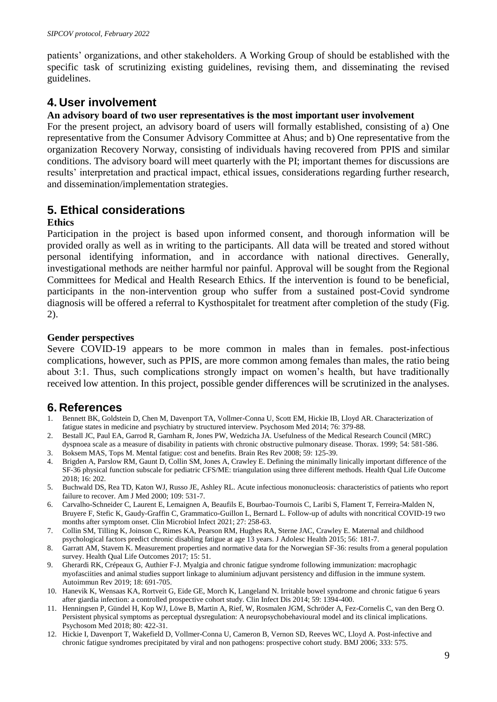patients' organizations, and other stakeholders. A Working Group of should be established with the specific task of scrutinizing existing guidelines, revising them, and disseminating the revised guidelines.

# **4. User involvement**

#### **An advisory board of two user representatives is the most important user involvement**

For the present project, an advisory board of users will formally established, consisting of a) One representative from the Consumer Advisory Committee at Ahus; and b) One representative from the organization Recovery Norway, consisting of individuals having recovered from PPIS and similar conditions. The advisory board will meet quarterly with the PI; important themes for discussions are results' interpretation and practical impact, ethical issues, considerations regarding further research, and dissemination/implementation strategies.

# **5. Ethical considerations**

#### **Ethics**

Participation in the project is based upon informed consent, and thorough information will be provided orally as well as in writing to the participants. All data will be treated and stored without personal identifying information, and in accordance with national directives. Generally, investigational methods are neither harmful nor painful. Approval will be sought from the Regional Committees for Medical and Health Research Ethics. If the intervention is found to be beneficial, participants in the non-intervention group who suffer from a sustained post-Covid syndrome diagnosis will be offered a referral to Kysthospitalet for treatment after completion of the study (Fig. 2).

#### **Gender perspectives**

Severe COVID-19 appears to be more common in males than in females. post-infectious complications, however, such as PPIS, are more common among females than males, the ratio being about 3:1. Thus, such complications strongly impact on women's health, but have traditionally received low attention. In this project, possible gender differences will be scrutinized in the analyses.

# **6. References**

- 1. Bennett BK, Goldstein D, Chen M, Davenport TA, Vollmer-Conna U, Scott EM, Hickie IB, Lloyd AR. Characterization of fatigue states in medicine and psychiatry by structured interview. Psychosom Med 2014; 76: 379-88.
- 2. Bestall JC, Paul EA, Garrod R, Garnham R, Jones PW, Wedzicha JA. Usefulness of the Medical Research Council (MRC) dyspnoea scale as a measure of disability in patients with chronic obstructive pulmonary disease. Thorax. 1999; 54: 581-586.
- 3. Boksem MAS, Tops M. Mental fatigue: cost and benefits. Brain Res Rev 2008; 59: 125-39.
- 4. Brigden A, Parslow RM, Gaunt D, Collin SM, Jones A, Crawley E. Defining the minimally linically important difference of the SF-36 physical function subscale for pediatric CFS/ME: triangulation using three different methods. Health Qual Life Outcome 2018; 16: 202.
- 5. Buchwald DS, Rea TD, Katon WJ, Russo JE, Ashley RL. Acute infectious mononucleosis: characteristics of patients who report failure to recover. Am J Med 2000; 109: 531-7.
- 6. Carvalho-Schneider C, Laurent E, Lemaignen A, Beaufils E, Bourbao-Tournois C, Laribi S, Flament T, Ferreira-Malden N, Bruyere F, Stefic K, Gaudy-Graffin C, Grammatico-Guillon L, Bernard L. Follow-up of adults with noncritical COVID-19 two months after symptom onset. Clin Microbiol Infect 2021; 27: 258-63.
- 7. Collin SM, Tilling K, Joinson C, Rimes KA, Pearson RM, Hughes RA, Sterne JAC, Crawley E. Maternal and childhood psychological factors predict chronic disabling fatigue at age 13 years. J Adolesc Health 2015; 56: 181-7.
- 8. Garratt AM, Stavem K. Measurement properties and normative data for the Norwegian SF-36: results from a general population survey. Health Qual Life Outcomes 2017; 15: 51.
- 9. Gherardi RK, Crépeaux G, Authier F-J. Myalgia and chronic fatigue syndrome following immunization: macrophagic myofasciities and animal studies support linkage to aluminium adjuvant persistency and diffusion in the immune system. Autoimmun Rev 2019; 18: 691-705.
- 10. Hanevik K, Wensaas KA, Rortveit G, Eide GE, Morch K, Langeland N. Irritable bowel syndrome and chronic fatigue 6 years after giardia infection: a controlled prospective cohort study. Clin Infect Dis 2014; 59: 1394-400.
- 11. Henningsen P, Gündel H, Kop WJ, Löwe B, Martin A, Rief, W, Rosmalen JGM, Schröder A, Fez-Cornelis C, van den Berg O. Persistent physical symptoms as perceptual dysregulation: A neuropsychobehavioural model and its clinical implications. Psychosom Med 2018; 80: 422-31.
- 12. Hickie I, Davenport T, Wakefield D, Vollmer-Conna U, Cameron B, Vernon SD, Reeves WC, Lloyd A. Post-infective and chronic fatigue syndromes precipitated by viral and non pathogens: prospective cohort study. BMJ 2006; 333: 575.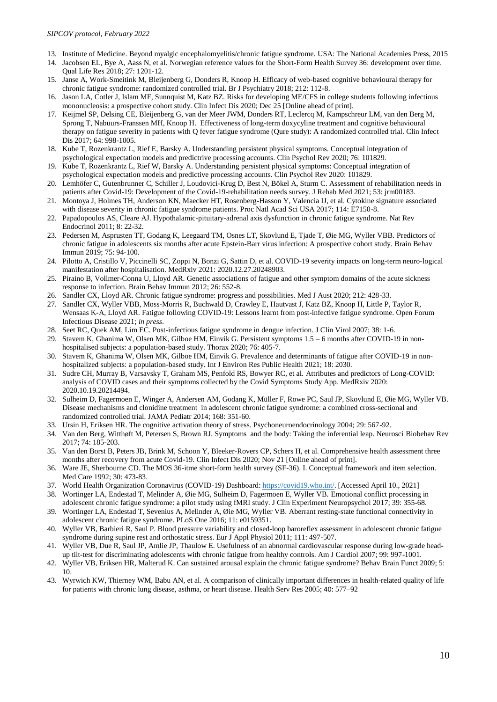- 13. Institute of Medicine. Beyond myalgic encephalomyelitis/chronic fatigue syndrome. USA: The National Academies Press, 2015
- 14. Jacobsen EL, Bye A, Aass N, et al. Norwegian reference values for the Short-Form Health Survey 36: development over time. Qual Life Res 2018; 27: 1201-12.
- 15. Janse A, Work-Smeitink M, Bleijenberg G, Donders R, Knoop H. Efficacy of web-based cognitive behavioural therapy for chronic fatigue syndrome: randomized controlled trial. Br J Psychiatry 2018; 212: 112-8.
- 16. Jason LA, Cotler J, Islam MF, Sunnquist M, Katz BZ. Risks for developing ME/CFS in college students following infectious mononucleosis: a prospective cohort study. Clin Infect Dis 2020; Dec 25 [Online ahead of print].
- 17. Keijmel SP, Delsing CE, Bleijenberg G, van der Meer JWM, Donders RT, Leclercq M, Kampschreur LM, van den Berg M, Sprong T, Nabuurs-Franssen MH, Knoop H. Effectiveness of long-term doxycyline treatment and cognitive behavioural therapy on fatigue severity in patients with Q fever fatigue syndrome (Qure study): A randomized controlled trial. Clin Infect Dis 2017; 64: 998-1005.
- 18. Kube T, Rozenkrantz L, Rief E, Barsky A. Understanding persistent physical symptoms. Conceptual integration of psychological expectation models and predictrive processing accounts. Clin Psychol Rev 2020; 76: 101829.
- 19. Kube T, Rozenkrantz L, Rief W, Barsky A. Understanding persistent physical symptoms: Conceptual integration of psychological expectation models and predictive processing accounts. Clin Psychol Rev 2020: 101829.
- 20. Lemhöfer C, Gutenbrunner C, Schiller J, Loudovici-Krug D, Best N, Bökel A, Sturm C. Assessment of rehabilitation needs in patients after Covid-19: Development of the Covid-19-rehabilitation needs survey. J Rehab Med 2021; 53: jrm00183.
- 21. Montoya J, Holmes TH, Anderson KN, Maecker HT, Rosenberg-Hasson Y, Valencia IJ, et al. Cytokine signature associated with disease severity in chronic fatigue syndrome patients. Proc Natl Acad Sci USA 2017; 114: E7150-8.
- 22. Papadopoulos AS, Cleare AJ. Hypothalamic-pituitary-adrenal axis dysfunction in chronic fatigue syndrome. Nat Rev Endocrinol 2011; 8: 22-32.
- 23. Pedersen M, Asprusten TT, Godang K, Leegaard TM, Osnes LT, Skovlund E, Tjade T, Øie MG, Wyller VBB. Predictors of chronic fatigue in adolescents six months after acute Epstein-Barr virus infection: A prospective cohort study. Brain Behav Immun 2019; 75: 94-100.
- 24. Pilotto A, Cristillo V, Piccinelli SC, Zoppi N, Bonzi G, Sattin D, et al. COVID-19 severity impacts on long-term neuro-logical manifestation after hospitalisation. MedRxiv 2021: 2020.12.27.20248903.
- 25. Piraino B, Vollmer-Conna U, Lloyd AR. Genetic associations of fatigue and other symptom domains of the acute sickness response to infection. Brain Behav Immun 2012; 26: 552-8.
- 26. Sandler CX, Lloyd AR. Chronic fatigue syndrome: progress and possibilities. Med J Aust 2020; 212: 428-33.
- 27. Sandler CX, Wyller VBB, Moss-Morris R, Buchwald D, Crawley E, Hautvast J, Katz BZ, Knoop H, Little P, Taylor R, Wensaas K-A, Lloyd AR. Fatigue following COVID-19: Lessons learnt from post-infective fatigue syndrome. Open Forum Infectious Disease 2021; *in press*.
- 28. Seet RC, Quek AM, Lim EC. Post-infectious fatigue syndrome in dengue infection. J Clin Virol 2007; 38: 1-6.
- 29. Stavem K, Ghanima W, Olsen MK, Gilboe HM, Einvik G. Persistent symptoms 1.5 6 months after COVID-19 in nonhospitalised subjects: a population-based study. Thorax 2020; 76: 405-7.
- 30. Stavem K, Ghanima W, Olsen MK, Gilboe HM, Einvik G. Prevalence and determinants of fatigue after COVID-19 in nonhospitalized subjects: a population-based study. Int J Environ Res Public Health 2021; 18: 2030.
- 31. Sudre CH, Murray B, Varsavsky T, Graham MS, Penfold RS, Bowyer RC, et al. Attributes and predictors of Long-COVID: analysis of COVID cases and their symptoms collected by the Covid Symptoms Study App. MedRxiv 2020: 2020.10.19.20214494.
- 32. Sulheim D, Fagermoen E, Winger A, Andersen AM, Godang K, Müller F, Rowe PC, Saul JP, Skovlund E, Øie MG, Wyller VB. Disease mechanisms and clonidine treatment in adolescent chronic fatigue syndrome: a combined cross-sectional and randomized controlled trial. JAMA Pediatr 2014; 168: 351-60.
- 33. Ursin H, Eriksen HR. The cognitive activation theory of stress. Psychoneuroendocrinology 2004; 29: 567-92.
- 34. Van den Berg, Witthøft M, Petersen S, Brown RJ. Symptoms and the body: Taking the inferential leap. Neurosci Biobehav Rev 2017; 74: 185-203.
- 35. Van den Borst B, Peters JB, Brink M, Schoon Y, Bleeker-Rovers CP, Schers H, et al. Comprehensive health assessment three months after recovery from acute Covid-19. Clin Infect Dis 2020; Nov 21 [Online ahead of print].
- 36. Ware JE, Sherbourne CD. The MOS 36-itme short-form health survey (SF-36). I. Conceptual framework and item selection. Med Care 1992; 30: 473-83.
- 37. World Health Organization Coronavirus (COVID-19) Dashboard[: https://covid19.who.int/.](https://covid19.who.int/) [Accessed April 10., 2021]
- 38. Wortinger LA, Endestad T, Melinder A, Øie MG, Sulheim D, Fagermoen E, Wyller VB. Emotional conflict processing in adolescent chronic fatigue syndrome: a pilot study using fMRI study. J Clin Experiment Neuropsychol 2017; 39: 355-68.
- 39. Wortinger LA, Endestad T, Sevenius A, Melinder A, Øie MG, Wyller VB. Aberrant resting-state functional connectivity in adolescent chronic fatigue syndrome. PLoS One 2016; 11: e0159351.
- 40. Wyller VB, Barbieri R, Saul P. Blood pressure variability and closed-loop baroreflex assessment in adolescent chronic fatigue syndrome during supine rest and orthostatic stress. Eur J Appl Physiol 2011; 111: 497-507.
- 41. Wyller VB, Due R, Saul JP, Amlie JP, Thaulow E. Usefulness of an abnormal cardiovascular response during low-grade headup tilt-test for discriminating adolescents with chronic fatigue from healthy controls. Am J Cardiol 2007; 99: 997-1001.
- 42. Wyller VB, Eriksen HR, Malterud K. Can sustained arousal explain the chronic fatigue syndrome? Behav Brain Funct 2009; 5: 10.
- 43. Wyrwich KW, Thierney WM, Babu AN, et al. A comparison of clinically important differences in health-related quality of life for patients with chronic lung disease, asthma, or heart disease. Health Serv Res 2005; 40: 577–92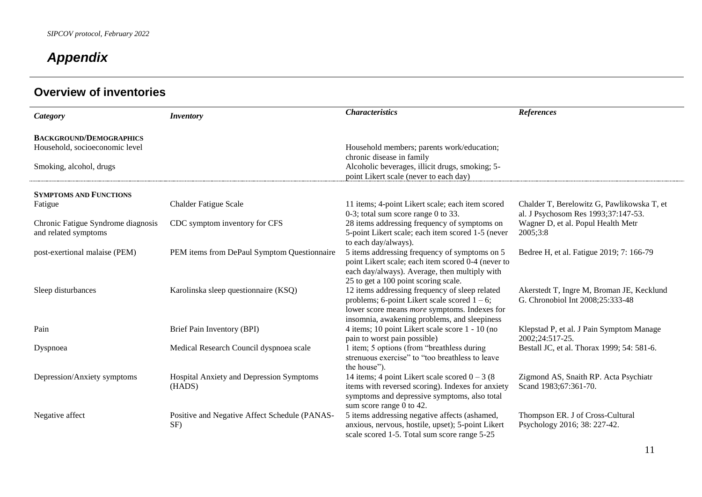# *Appendix*

| Category                           | <b>Inventory</b>                                   | <b>Characteristics</b>                                                                                 | <b>References</b>                                              |
|------------------------------------|----------------------------------------------------|--------------------------------------------------------------------------------------------------------|----------------------------------------------------------------|
| <b>BACKGROUND/DEMOGRAPHICS</b>     |                                                    |                                                                                                        |                                                                |
| Household, socioeconomic level     |                                                    | Household members; parents work/education;                                                             |                                                                |
|                                    |                                                    | chronic disease in family                                                                              |                                                                |
| Smoking, alcohol, drugs            |                                                    | Alcoholic beverages, illicit drugs, smoking; 5-<br>point Likert scale (never to each day)              |                                                                |
|                                    |                                                    |                                                                                                        |                                                                |
| <b>SYMPTOMS AND FUNCTIONS</b>      |                                                    |                                                                                                        |                                                                |
| Fatigue                            | <b>Chalder Fatigue Scale</b>                       | 11 items; 4-point Likert scale; each item scored                                                       | Chalder T, Berelowitz G, Pawlikowska T, et                     |
|                                    |                                                    | 0-3; total sum score range 0 to 33.                                                                    | al. J Psychosom Res 1993;37:147-53.                            |
| Chronic Fatigue Syndrome diagnosis | CDC symptom inventory for CFS                      | 28 items addressing frequency of symptoms on                                                           | Wagner D, et al. Popul Health Metr                             |
| and related symptoms               |                                                    | 5-point Likert scale; each item scored 1-5 (never                                                      | 2005;3:8                                                       |
|                                    |                                                    | to each day/always).                                                                                   |                                                                |
| post-exertional malaise (PEM)      | PEM items from DePaul Symptom Questionnaire        | 5 items addressing frequency of symptoms on 5                                                          | Bedree H, et al. Fatigue 2019; 7: 166-79                       |
|                                    |                                                    | point Likert scale; each item scored 0-4 (never to<br>each day/always). Average, then multiply with    |                                                                |
|                                    |                                                    | 25 to get a 100 point scoring scale.                                                                   |                                                                |
| Sleep disturbances                 | Karolinska sleep questionnaire (KSQ)               | 12 items addressing frequency of sleep related                                                         | Akerstedt T, Ingre M, Broman JE, Kecklund                      |
|                                    |                                                    | problems; 6-point Likert scale scored $1 - 6$ ;                                                        | G. Chronobiol Int 2008;25:333-48                               |
|                                    |                                                    | lower score means <i>more</i> symptoms. Indexes for                                                    |                                                                |
|                                    |                                                    | insomnia, awakening problems, and sleepiness                                                           |                                                                |
| Pain                               | Brief Pain Inventory (BPI)                         | 4 items; 10 point Likert scale score 1 - 10 (no                                                        | Klepstad P, et al. J Pain Symptom Manage                       |
|                                    |                                                    | pain to worst pain possible)                                                                           | 2002;24:517-25.                                                |
| Dyspnoea                           | Medical Research Council dyspnoea scale            | 1 item; 5 options (from "breathless during                                                             | Bestall JC, et al. Thorax 1999; 54: 581-6.                     |
|                                    |                                                    | strenuous exercise" to "too breathless to leave                                                        |                                                                |
|                                    |                                                    | the house").                                                                                           |                                                                |
| Depression/Anxiety symptoms        | Hospital Anxiety and Depression Symptoms<br>(HADS) | 14 items; 4 point Likert scale scored $0 - 3$ (8)<br>items with reversed scoring). Indexes for anxiety | Zigmond AS, Snaith RP. Acta Psychiatr<br>Scand 1983;67:361-70. |
|                                    |                                                    | symptoms and depressive symptoms, also total                                                           |                                                                |
|                                    |                                                    | sum score range 0 to 42.                                                                               |                                                                |
| Negative affect                    | Positive and Negative Affect Schedule (PANAS-      | 5 items addressing negative affects (ashamed,                                                          | Thompson ER. J of Cross-Cultural                               |
|                                    | SF)                                                | anxious, nervous, hostile, upset); 5-point Likert                                                      | Psychology 2016; 38: 227-42.                                   |
|                                    |                                                    | scale scored 1-5. Total sum score range 5-25                                                           |                                                                |

# **Overview of inventories**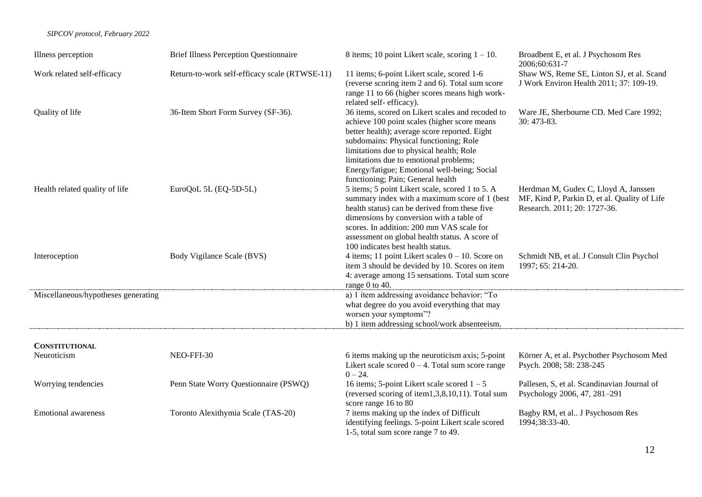#### *SIPCOV protocol, February 2022*

| Illness perception                  | <b>Brief Illness Perception Questionnaire</b> | 8 items; 10 point Likert scale, scoring $1 - 10$ .                                                                                                                                                                                                                                                                                                                     | Broadbent E, et al. J Psychosom Res<br>2006;60:631-7                                                                 |
|-------------------------------------|-----------------------------------------------|------------------------------------------------------------------------------------------------------------------------------------------------------------------------------------------------------------------------------------------------------------------------------------------------------------------------------------------------------------------------|----------------------------------------------------------------------------------------------------------------------|
| Work related self-efficacy          | Return-to-work self-efficacy scale (RTWSE-11) | 11 items; 6-point Likert scale, scored 1-6<br>(reverse scoring item 2 and 6). Total sum score<br>range 11 to 66 (higher scores means high work-<br>related self-efficacy).                                                                                                                                                                                             | Shaw WS, Reme SE, Linton SJ, et al. Scand<br>J Work Environ Health 2011; 37: 109-19.                                 |
| Quality of life                     | 36-Item Short Form Survey (SF-36).            | 36 items, scored on Likert scales and recoded to<br>achieve 100 point scales (higher score means<br>better health); average score reported. Eight<br>subdomains: Physical functioning; Role<br>limitations due to physical health; Role<br>limitations due to emotional problems;<br>Energy/fatigue; Emotional well-being; Social<br>functioning; Pain; General health | Ware JE, Sherbourne CD. Med Care 1992;<br>30: 473-83.                                                                |
| Health related quality of life      | EuroQoL 5L (EQ-5D-5L)                         | 5 items; 5 point Likert scale, scored 1 to 5. A<br>summary index with a maximum score of 1 (best<br>health status) can be derived from these five<br>dimensions by conversion with a table of<br>scores. In addition: 200 mm VAS scale for<br>assessment on global health status. A score of<br>100 indicates best health status.                                      | Herdman M, Gudex C, Lloyd A, Janssen<br>MF, Kind P, Parkin D, et al. Quality of Life<br>Research. 2011; 20: 1727-36. |
| Interoception                       | Body Vigilance Scale (BVS)                    | 4 items; 11 point Likert scales $0 - 10$ . Score on<br>item 3 should be devided by 10. Scores on item<br>4: average among 15 sensations. Total sum score<br>range 0 to 40.                                                                                                                                                                                             | Schmidt NB, et al. J Consult Clin Psychol<br>1997; 65: 214-20.                                                       |
| Miscellaneous/hypotheses generating |                                               | a) 1 item addressing avoidance behavior: "To<br>what degree do you avoid everything that may<br>worsen your symptoms"?<br>b) 1 item addressing school/work absenteeism.                                                                                                                                                                                                |                                                                                                                      |
| <b>CONSTITUTIONAL</b>               |                                               |                                                                                                                                                                                                                                                                                                                                                                        |                                                                                                                      |
| Neuroticism                         | NEO-FFI-30                                    | 6 items making up the neuroticism axis; 5-point<br>Likert scale scored $0 - 4$ . Total sum score range<br>$0 - 24.$                                                                                                                                                                                                                                                    | Körner A, et al. Psychother Psychosom Med<br>Psych. 2008; 58: 238-245                                                |
| Worrying tendencies                 | Penn State Worry Questionnaire (PSWQ)         | 16 items; 5-point Likert scale scored $1 - 5$<br>(reversed scoring of item1,3,8,10,11). Total sum<br>score range 16 to 80                                                                                                                                                                                                                                              | Pallesen, S, et al. Scandinavian Journal of<br>Psychology 2006, 47, 281-291                                          |
| <b>Emotional awareness</b>          | Toronto Alexithymia Scale (TAS-20)            | 7 items making up the index of Difficult<br>identifying feelings. 5-point Likert scale scored<br>1-5, total sum score range 7 to 49.                                                                                                                                                                                                                                   | Bagby RM, et al J Psychosom Res<br>1994;38:33-40.                                                                    |